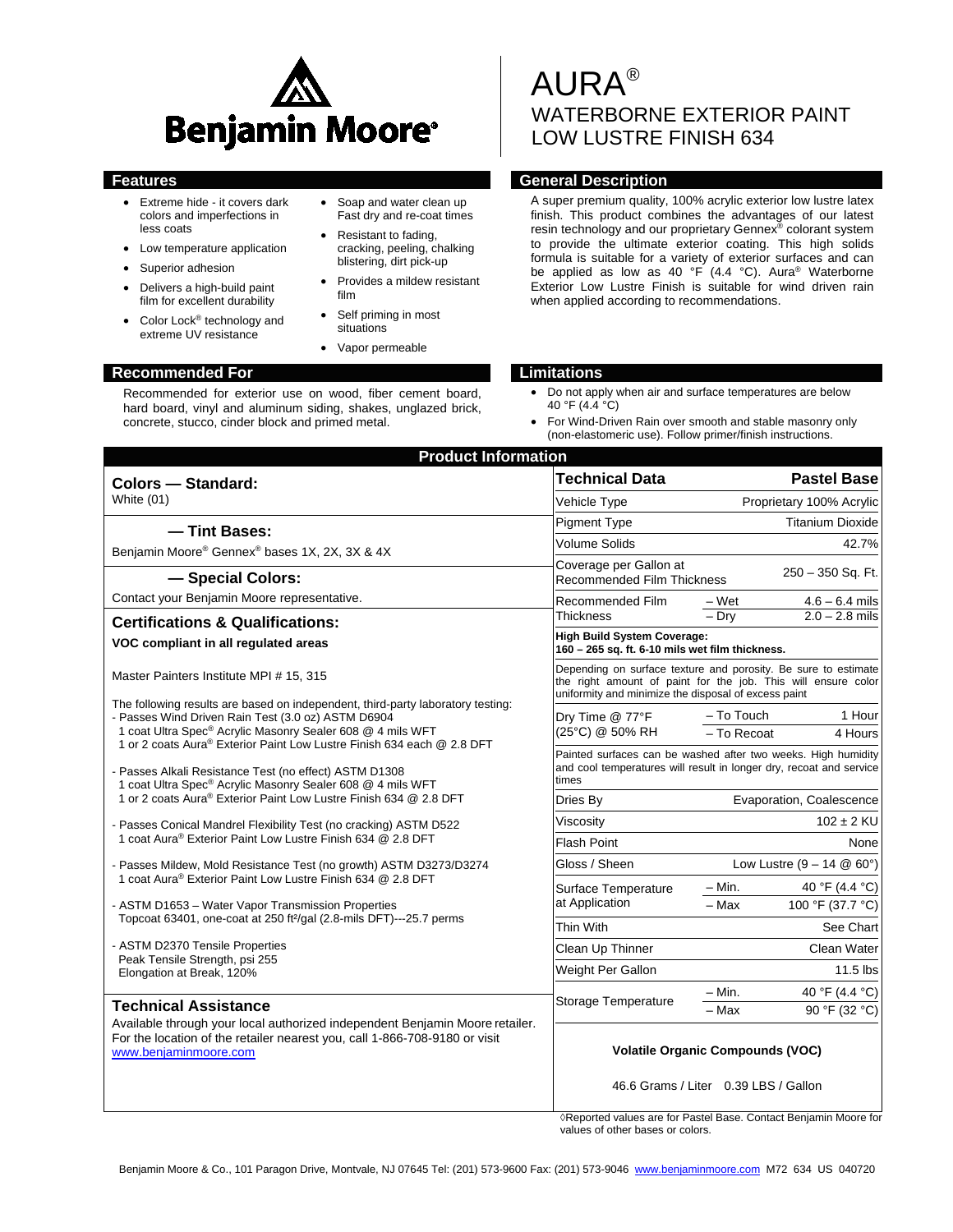

- Extreme hide it covers dark colors and imperfections in less coats
- Low temperature application
- Superior adhesion
- Delivers a high-build paint film for excellent durability
- Color Lock® technology and extreme UV resistance
- Soap and water clean up Fast dry and re-coat times
- Resistant to fading, cracking, peeling, chalking blistering, dirt pick-up
- Provides a mildew resistant film
- Self priming in most situations
- Vapor permeable

### **Recommended For Limitations**

Recommended for exterior use on wood, fiber cement board, hard board, vinyl and aluminum siding, shakes, unglazed brick, concrete, stucco, cinder block and primed metal.

# AURA® WATERBORNE EXTERIOR PAINT LOW LUSTRE FINISH 634

# **Features General Description**

A super premium quality, 100% acrylic exterior low lustre latex finish. This product combines the advantages of our latest resin technology and our proprietary Gennex® colorant system to provide the ultimate exterior coating. This high solids formula is suitable for a variety of exterior surfaces and can be applied as low as 40 °F (4.4 °C). Aura<sup>®</sup> Waterborne Exterior Low Lustre Finish is suitable for wind driven rain when applied according to recommendations.

- Do not apply when air and surface temperatures are below 40 °F (4.4 °C)
- For Wind-Driven Rain over smooth and stable masonry only (non-elastomeric use). Follow primer/finish instructions.

| <b>Product Information</b>                                                                                                                                                                                                                                                                |                                                                                                                                                                                         |                                     |                          |  |
|-------------------------------------------------------------------------------------------------------------------------------------------------------------------------------------------------------------------------------------------------------------------------------------------|-----------------------------------------------------------------------------------------------------------------------------------------------------------------------------------------|-------------------------------------|--------------------------|--|
| <b>Colors - Standard:</b>                                                                                                                                                                                                                                                                 | <b>Technical Data</b>                                                                                                                                                                   | <b>Pastel Base</b>                  |                          |  |
| White (01)                                                                                                                                                                                                                                                                                | Vehicle Type                                                                                                                                                                            |                                     | Proprietary 100% Acrylic |  |
| - Tint Bases:                                                                                                                                                                                                                                                                             | <b>Pigment Type</b>                                                                                                                                                                     |                                     | <b>Titanium Dioxide</b>  |  |
| Benjamin Moore® Gennex® bases 1X, 2X, 3X & 4X                                                                                                                                                                                                                                             | <b>Volume Solids</b>                                                                                                                                                                    |                                     | 42.7%                    |  |
| - Special Colors:                                                                                                                                                                                                                                                                         | Coverage per Gallon at<br><b>Recommended Film Thickness</b>                                                                                                                             |                                     | 250 - 350 Sq. Ft.        |  |
| Contact your Benjamin Moore representative.                                                                                                                                                                                                                                               | Recommended Film                                                                                                                                                                        | – Wet                               | $4.6 - 6.4$ mils         |  |
| <b>Certifications &amp; Qualifications:</b>                                                                                                                                                                                                                                               | <b>Thickness</b>                                                                                                                                                                        | $-$ Dry                             | $2.0 - 2.8$ mils         |  |
| VOC compliant in all regulated areas                                                                                                                                                                                                                                                      | <b>High Build System Coverage:</b><br>160 - 265 sq. ft. 6-10 mils wet film thickness.                                                                                                   |                                     |                          |  |
| Master Painters Institute MPI # 15, 315                                                                                                                                                                                                                                                   | Depending on surface texture and porosity. Be sure to estimate<br>the right amount of paint for the job. This will ensure color<br>uniformity and minimize the disposal of excess paint |                                     |                          |  |
| The following results are based on independent, third-party laboratory testing:<br>- Passes Wind Driven Rain Test (3.0 oz) ASTM D6904<br>1 coat Ultra Spec® Acrylic Masonry Sealer 608 @ 4 mils WFT<br>1 or 2 coats Aura <sup>®</sup> Exterior Paint Low Lustre Finish 634 each @ 2.8 DFT | Dry Time @ 77°F<br>(25°C) @ 50% RH                                                                                                                                                      | – To Touch                          | 1 Hour                   |  |
|                                                                                                                                                                                                                                                                                           |                                                                                                                                                                                         | - To Recoat                         | 4 Hours                  |  |
| - Passes Alkali Resistance Test (no effect) ASTM D1308<br>1 coat Ultra Spec® Acrylic Masonry Sealer 608 @ 4 mils WFT                                                                                                                                                                      | Painted surfaces can be washed after two weeks. High humidity<br>and cool temperatures will result in longer dry, recoat and service<br>times                                           |                                     |                          |  |
| 1 or 2 coats Aura® Exterior Paint Low Lustre Finish 634 @ 2.8 DFT                                                                                                                                                                                                                         | Dries By                                                                                                                                                                                | Evaporation, Coalescence            |                          |  |
| - Passes Conical Mandrel Flexibility Test (no cracking) ASTM D522<br>1 coat Aura® Exterior Paint Low Lustre Finish 634 @ 2.8 DFT                                                                                                                                                          | Viscosity                                                                                                                                                                               |                                     | $102 \pm 2$ KU           |  |
|                                                                                                                                                                                                                                                                                           | <b>Flash Point</b>                                                                                                                                                                      |                                     | None                     |  |
| - Passes Mildew, Mold Resistance Test (no growth) ASTM D3273/D3274<br>1 coat Aura <sup>®</sup> Exterior Paint Low Lustre Finish 634 @ 2.8 DFT                                                                                                                                             | Gloss / Sheen                                                                                                                                                                           | Low Lustre $(9 - 14 \& 60^{\circ})$ |                          |  |
|                                                                                                                                                                                                                                                                                           | Surface Temperature                                                                                                                                                                     | $- Min.$                            | 40 °F (4.4 °C)           |  |
| - ASTM D1653 - Water Vapor Transmission Properties                                                                                                                                                                                                                                        | at Application                                                                                                                                                                          | - Max                               | 100 °F (37.7 °C)         |  |
| Topcoat 63401, one-coat at 250 ft <sup>2</sup> /gal (2.8-mils DFT)---25.7 perms<br>- ASTM D2370 Tensile Properties<br>Peak Tensile Strength, psi 255<br>Elongation at Break, 120%                                                                                                         | Thin With                                                                                                                                                                               |                                     | See Chart                |  |
|                                                                                                                                                                                                                                                                                           | Clean Up Thinner                                                                                                                                                                        |                                     | Clean Water              |  |
|                                                                                                                                                                                                                                                                                           | Weight Per Gallon                                                                                                                                                                       |                                     | $11.5$ lbs               |  |
|                                                                                                                                                                                                                                                                                           | <b>Storage Temperature</b>                                                                                                                                                              | – Min.                              | 40 °F (4.4 °C)           |  |
| <b>Technical Assistance</b>                                                                                                                                                                                                                                                               |                                                                                                                                                                                         | - Max                               | 90 °F (32 °C)            |  |
| Available through your local authorized independent Benjamin Moore retailer.<br>For the location of the retailer nearest you, call 1-866-708-9180 or visit<br>www.benjaminmoore.com                                                                                                       | <b>Volatile Organic Compounds (VOC)</b><br>46.6 Grams / Liter 0.39 LBS / Gallon                                                                                                         |                                     |                          |  |

◊Reported values are for Pastel Base. Contact Benjamin Moore for values of other bases or colors.